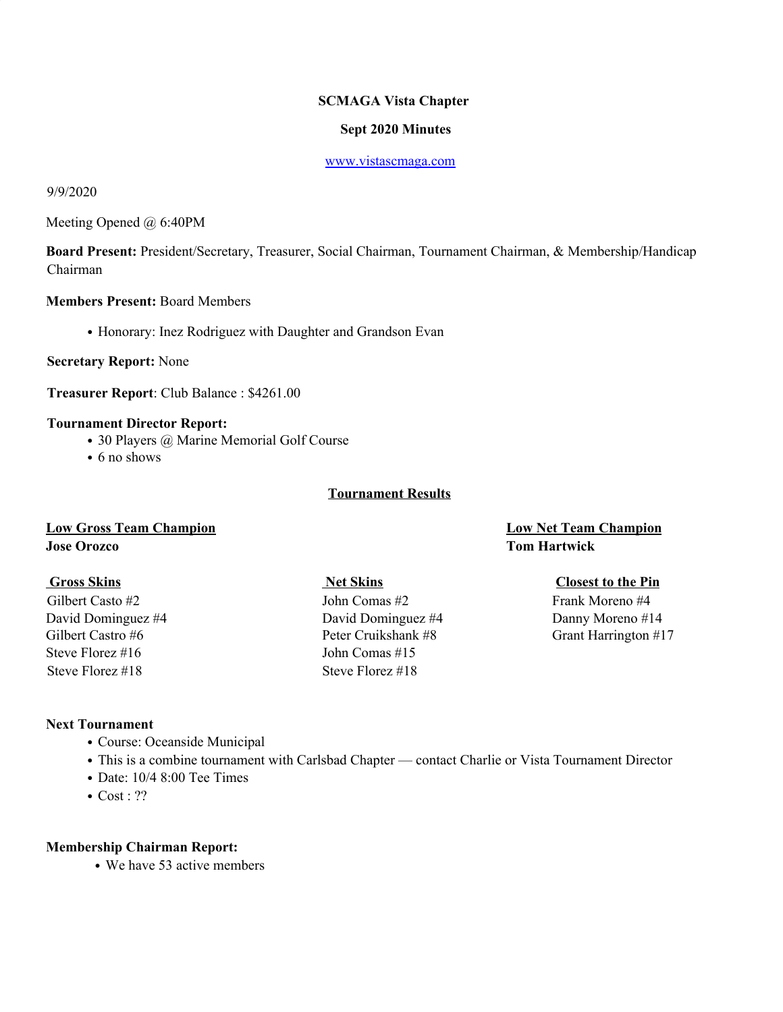# **SCMAGA Vista Chapter**

## **Sept 2020 Minutes**

### www.vistascmaga.com

## 9/9/2020

Meeting Opened @ 6:40PM

**Board Present:** President/Secretary, Treasurer, Social Chairman, Tournament Chairman, & Membership/Handicap Chairman

# **Members Present:** Board Members

• Honorary: Inez Rodriguez with Daughter and Grandson Evan

**Secretary Report:** None

**Treasurer Report**: Club Balance : \$4261.00

### **Tournament Director Report:**

- 30 Players @ Marine Memorial Golf Course
- 6 no shows

# **Tournament Results**

# **Low Gross Team Champion Low Net Team Champion Jose Orozco Tom Hartwick**

Steve Florez #16 John Comas #15 Steve Florez #18 Steve Florez #18

Gilbert Casto #2 John Comas #2 Frank Moreno #4 David Dominguez #4 David Dominguez #4 Danny Moreno #14

### **Gross Skins Net Skins Closest to the Pin**

Gilbert Castro #6 Peter Cruikshank #8 Grant Harrington #17

# **Next Tournament**

- Course: Oceanside Municipal
- This is a combine tournament with Carlsbad Chapter contact Charlie or Vista Tournament Director
- Date: 10/4 8:00 Tee Times
- Cost: ??

### **Membership Chairman Report:**

• We have 53 active members